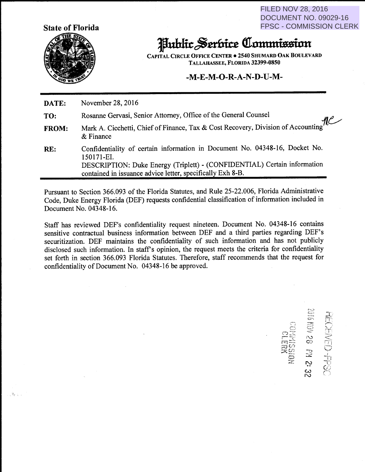**FILED NOV 28, 2016 DOCUMENT NO. 09029-16 FPSC - COMMISSION CLERK** 

DSH-CENECE

12 Hd 82 NON



化小

## Hublic Serbice Commission

**CAPITAL CIRCLE OFFICE CENTER . 2540 SHUMARD OAK BOULEVARD** TALLAHASSEE, FLORIDA 32399-0850

## $-M-E-M-O-R-A-N-D-U-M-$

DATE: November 28, 2016

- Rosanne Gervasi, Senior Attorney, Office of the General Counsel TO:
- Mark A. Cicchetti, Chief of Finance, Tax & Cost Recovery, Division of Accounting the & Finance **FROM:**  $&$  Finance
- Confidentiality of certain information in Document No. 04348-16, Docket No. RE: 150171-EI. DESCRIPTION: Duke Energy (Triplett) - (CONFIDENTIAL) Certain information contained in issuance advice letter, specifically Exh 8-B.

Pursuant to Section 366.093 of the Florida Statutes, and Rule 25-22.006, Florida Administrative Code, Duke Energy Florida (DEF) requests confidential classification of information included in Document No. 04348-16.

Staff has reviewed DEF's confidentiality request nineteen. Document No. 04348-16 contains sensitive contractual business information between DEF and a third parties regarding DEF's securitization. DEF maintains the confidentiality of such information and has not publicly disclosed such information. In staff's opinion, the request meets the criteria for confidentiality set forth in section 366.093 Florida Statutes. Therefore, staff recommends that the request for confidentiality of Document No. 04348-16 be approved.